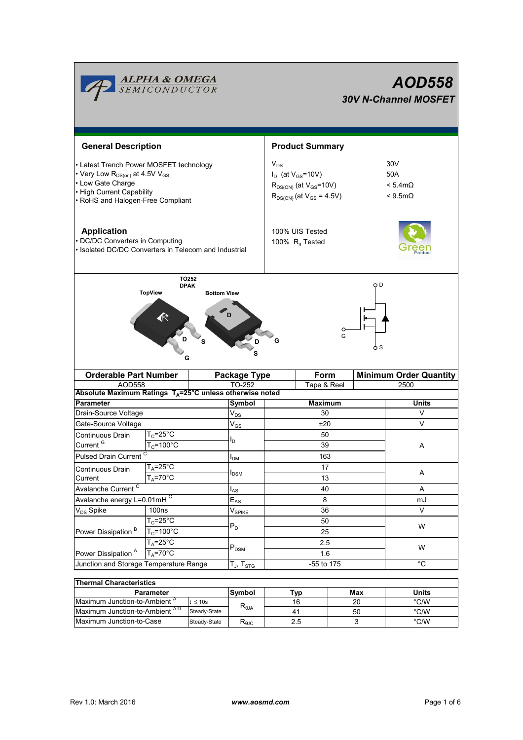| <b>ALPHA &amp; OMEGA</b><br>SEMICONDUCTOR                                                                                                                                         |                                                      |                                                                                                               |                 | AOD558<br><b>30V N-Channel MOSFET</b>               |        |                               |  |  |
|-----------------------------------------------------------------------------------------------------------------------------------------------------------------------------------|------------------------------------------------------|---------------------------------------------------------------------------------------------------------------|-----------------|-----------------------------------------------------|--------|-------------------------------|--|--|
| <b>General Description</b>                                                                                                                                                        |                                                      |                                                                                                               |                 | <b>Product Summary</b>                              |        |                               |  |  |
| • Latest Trench Power MOSFET technology<br>• Very Low $R_{DS(on)}$ at 4.5V V <sub>GS</sub><br>• Low Gate Charge<br>• High Current Capability<br>• RoHS and Halogen-Free Compliant |                                                      | $V_{DS}$<br>$I_D$ (at $V_{GS}$ =10V)<br>$R_{DS(ON)}$ (at $V_{GS}$ =10V)<br>$R_{DS(ON)}$ (at $V_{GS} = 4.5V$ ) |                 | 30V<br>50A<br>$< 5.4$ m $\Omega$<br>$< 9.5 m\Omega$ |        |                               |  |  |
| <b>Application</b><br>• DC/DC Converters in Computing<br>· Isolated DC/DC Converters in Telecom and Industrial                                                                    |                                                      | 100% UIS Tested<br>100% $R_g$ Tested                                                                          |                 |                                                     |        |                               |  |  |
| <b>TopView</b><br><b>Bottom View</b><br>G<br>G<br>s<br>5 S                                                                                                                        |                                                      |                                                                                                               |                 |                                                     |        |                               |  |  |
|                                                                                                                                                                                   | <b>Orderable Part Number</b>                         |                                                                                                               | Package Type    |                                                     |        | <b>Minimum Order Quantity</b> |  |  |
| AOD558<br>Absolute Maximum Ratings T <sub>A</sub> =25°C unless otherwise noted                                                                                                    |                                                      | TO-252                                                                                                        |                 | Tape & Reel                                         | 2500   |                               |  |  |
| Parameter                                                                                                                                                                         |                                                      | Symbol                                                                                                        |                 | <b>Maximum</b>                                      | Units  |                               |  |  |
| Drain-Source Voltage                                                                                                                                                              |                                                      | $V_{DS}$                                                                                                      |                 | 30                                                  | V      |                               |  |  |
| Gate-Source Voltage                                                                                                                                                               |                                                      | $\mathsf{V}_{\mathsf{GS}}$                                                                                    |                 | ±20                                                 | v      |                               |  |  |
| Continuous Drain<br>Current <sup>G</sup><br>Pulsed Drain Current <sup>C</sup>                                                                                                     | $T_c = 25^\circ C$<br>$T_c = 100^{\circ}C$           |                                                                                                               | 50<br>39<br>163 |                                                     | A      |                               |  |  |
| Continuous Drain<br>Current                                                                                                                                                       | $T_A = 25$ °C<br>$T_A = 70^\circ C$                  | $I_{DM}$<br><b>DSM</b>                                                                                        |                 | 17<br>13                                            | Α      |                               |  |  |
| Avalanche Current <sup>C</sup>                                                                                                                                                    |                                                      |                                                                                                               | 40              |                                                     | Α      |                               |  |  |
| Avalanche energy L=0.01mHC                                                                                                                                                        |                                                      | $I_{AS}$<br>$E_{AS}$                                                                                          | 8               |                                                     | mJ     |                               |  |  |
| V <sub>DS</sub> Spike                                                                                                                                                             | 100ns                                                | V <sub>SPIKE</sub>                                                                                            | 36              |                                                     | $\vee$ | W                             |  |  |
| Power Dissipation <sup>B</sup>                                                                                                                                                    | $T_C = 25^\circ C$<br>$P_D$<br>$T_c = 100^{\circ}$ C |                                                                                                               |                 | 50<br>25                                            |        |                               |  |  |
| Power Dissipation <sup>A</sup>                                                                                                                                                    | $T_A = 25$ °C<br>$T_A = 70$ °C                       | $P_{DSM}$                                                                                                     |                 | 2.5<br>1.6                                          | W      |                               |  |  |
| Junction and Storage Temperature Range                                                                                                                                            |                                                      | $T_J$ , $T_{STG}$                                                                                             | -55 to 175      |                                                     | °C     |                               |  |  |
| <b>Thermal Characteristics</b>                                                                                                                                                    |                                                      |                                                                                                               |                 |                                                     |        |                               |  |  |

| THEIMAL UNALQUELISHUS                    |              |                                  |     |              |               |  |  |  |
|------------------------------------------|--------------|----------------------------------|-----|--------------|---------------|--|--|--|
| <b>Parameter</b>                         | Symbol       | ™vp                              | Max | <b>Units</b> |               |  |  |  |
| Maximum Junction-to-Ambient <sup>"</sup> | t ≤ 10s      |                                  | 16  | 20           | $\degree$ C/W |  |  |  |
| Maximum Junction-to-Ambient AD           | Steady-State | $\mathsf{R}_{\theta\mathsf{JA}}$ |     | 50           | $\degree$ C/W |  |  |  |
| <b>IMaximum Junction-to-Case</b>         | Steady-State | $R_{\theta \text{JC}}$           |     |              | $\degree$ C/W |  |  |  |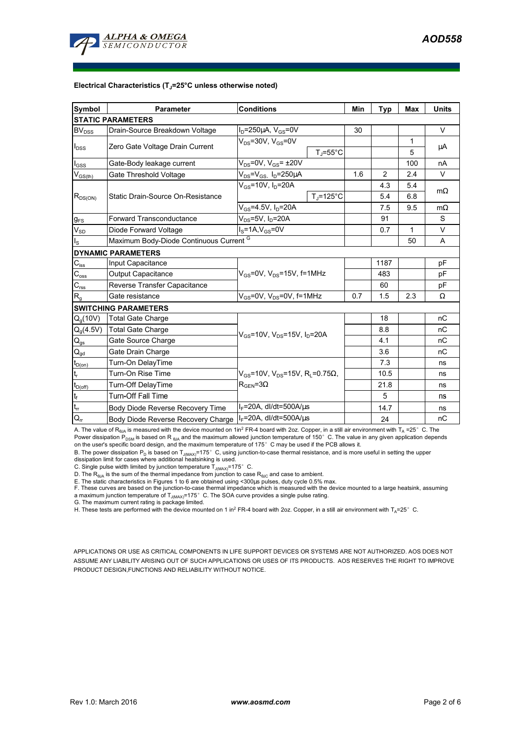

#### **Electrical Characteristics (TJ=25°C unless otherwise noted)**

| <b>Symbol</b>                           | <b>Parameter</b>                                   | <b>Conditions</b>                                                                                         | Min                 | Typ | Max            | <b>Units</b> |           |  |  |
|-----------------------------------------|----------------------------------------------------|-----------------------------------------------------------------------------------------------------------|---------------------|-----|----------------|--------------|-----------|--|--|
| <b>STATIC PARAMETERS</b>                |                                                    |                                                                                                           |                     |     |                |              |           |  |  |
| BV <sub>DSS</sub>                       | Drain-Source Breakdown Voltage                     | $I_D = 250 \mu A$ , $V_{GS} = 0V$                                                                         |                     | 30  |                |              | $\vee$    |  |  |
| $I_{DSS}$                               |                                                    | $V_{DS}$ =30V, $V_{GS}$ =0V                                                                               |                     |     |                | 1            |           |  |  |
|                                         | Zero Gate Voltage Drain Current                    |                                                                                                           | $T_i = 55^{\circ}C$ |     |                | 5            | μA        |  |  |
| $I_{GSS}$                               | Gate-Body leakage current                          | $V_{DS}$ =0V, $V_{GS}$ = ±20V                                                                             |                     |     |                | 100          | nA        |  |  |
| $\mathsf{V}_{\mathsf{GS}(\mathsf{th})}$ | Gate Threshold Voltage                             | $V_{DS} = V_{GS}$ , $I_D = 250 \mu A$                                                                     |                     | 1.6 | $\overline{2}$ | 2.4          | $\vee$    |  |  |
|                                         |                                                    | $V_{GS}$ =10V, $I_D$ =20A                                                                                 |                     |     | 4.3            | 5.4          | $m\Omega$ |  |  |
| $R_{DS(ON)}$                            | Static Drain-Source On-Resistance                  |                                                                                                           | $T_{\rm J}$ =125°C  |     | 5.4            | 6.8          |           |  |  |
|                                         |                                                    | $V_{GS} = 4.5V$ , $I_D = 20A$                                                                             |                     |     | 7.5            | 9.5          | $m\Omega$ |  |  |
| $g_{FS}$                                | <b>Forward Transconductance</b>                    | $V_{DS}$ =5V, $I_D$ =20A                                                                                  |                     | 91  |                | S            |           |  |  |
| $V_{SD}$                                | Diode Forward Voltage                              | $I_S = 1A$ , $V_{GS} = 0V$                                                                                |                     | 0.7 | 1              | $\vee$       |           |  |  |
| $I_{\rm S}$                             | Maximum Body-Diode Continuous Current <sup>G</sup> |                                                                                                           |                     |     | 50             | A            |           |  |  |
|                                         | <b>DYNAMIC PARAMETERS</b>                          |                                                                                                           |                     |     |                |              |           |  |  |
| $C_{iss}$                               | Input Capacitance                                  |                                                                                                           |                     |     | 1187           |              | pF        |  |  |
| $C_{\rm oss}$                           | <b>Output Capacitance</b>                          | $V_{GS}$ =0V, $V_{DS}$ =15V, f=1MHz                                                                       |                     |     | 483            |              | pF        |  |  |
| $C_{\rm rss}$                           | Reverse Transfer Capacitance                       |                                                                                                           |                     | 60  |                | pF           |           |  |  |
| $R_{q}$                                 | Gate resistance                                    | $V_{GS}$ =0V, $V_{DS}$ =0V, f=1MHz                                                                        |                     | 0.7 | 1.5            | 2.3          | $\Omega$  |  |  |
| <b>SWITCHING PARAMETERS</b>             |                                                    |                                                                                                           |                     |     |                |              |           |  |  |
| $Q_g(10V)$                              | <b>Total Gate Charge</b>                           | $V_{GS}$ =10V, $V_{DS}$ =15V, $I_D$ =20A                                                                  |                     |     | 18             |              | nC        |  |  |
| $Q_g(4.5V)$                             | <b>Total Gate Charge</b>                           |                                                                                                           |                     |     | 8.8            |              | nC        |  |  |
| $Q_{gs}$                                | Gate Source Charge                                 |                                                                                                           |                     |     | 4.1            |              | nС        |  |  |
| $Q_{gd}$                                | Gate Drain Charge                                  |                                                                                                           |                     |     | 3.6            |              | nC        |  |  |
| $t_{D(0n)}$                             | Turn-On DelayTime                                  | $V_{\text{GS}}$ =10V, V <sub>DS</sub> =15V, R <sub>L</sub> =0.75 $\Omega$ ,<br>$R_{\text{GEN}} = 3\Omega$ |                     |     | 7.3            |              | ns        |  |  |
| t,                                      | Turn-On Rise Time                                  |                                                                                                           |                     |     | 10.5           |              | ns        |  |  |
| $t_{D(off)}$                            | Turn-Off DelayTime                                 |                                                                                                           |                     |     | 21.8           |              | ns        |  |  |
| $\mathfrak{t}_{\mathsf{f}}$             | <b>Turn-Off Fall Time</b>                          |                                                                                                           |                     |     | 5              |              | ns        |  |  |
| $\mathfrak{t}_{\text{rr}}$              | Body Diode Reverse Recovery Time                   | $I_F$ =20A, dl/dt=500A/ $\mu$ s                                                                           |                     |     | 14.7           |              | ns        |  |  |
| $Q_{rr}$                                | Body Diode Reverse Recovery Charge                 | $I_F$ =20A, dl/dt=500A/us                                                                                 |                     |     | 24             |              | nC        |  |  |

A. The value of R<sub>ata</sub> is measured with the device mounted on 1in<sup>2</sup> FR-4 board with 2oz. Copper, in a still air environment with T<sub>A</sub> =25°C. The Power dissipation  $\widetilde{P}_{DSM}$  is based on R  $_{\thetaJA}$  and the maximum allowed junction temperature of 150°C. The value in any given application depends on the user's specific board design, and the maximum temperature of 175°C may be used if the PCB allows it.

B. The power dissipation P<sub>D</sub> is based on T<sub>J(MAX)</sub>=175°C, using junction-to-case thermal resistance, and is more useful in setting the upper<br>dissipation limit for cases where additional heatsinking is used.<br>C. Single puls

D. The R<sub>s∪A</sub> is the sum of the thermal impedance from junction to case R<sub>s∪C</sub> and case to ambient.<br>E. The static characteristics in Figures 1 to 6 are obtained using <300µs pulses, duty cycle 0.5% max.<br>F. These curves are a maximum junction temperature of  $T_{J(MAX)}$ =175° C. The SOA curve provides a single pulse rating.

G. The maximum current rating is package limited.

H. These tests are performed with the device mounted on 1 in<sup>2</sup> FR-4 board with 2oz. Copper, in a still air environment with T<sub>A</sub>=25°C.

APPLICATIONS OR USE AS CRITICAL COMPONENTS IN LIFE SUPPORT DEVICES OR SYSTEMS ARE NOT AUTHORIZED. AOS DOES NOT ASSUME ANY LIABILITY ARISING OUT OF SUCH APPLICATIONS OR USES OF ITS PRODUCTS. AOS RESERVES THE RIGHT TO IMPROVE PRODUCT DESIGN,FUNCTIONS AND RELIABILITY WITHOUT NOTICE.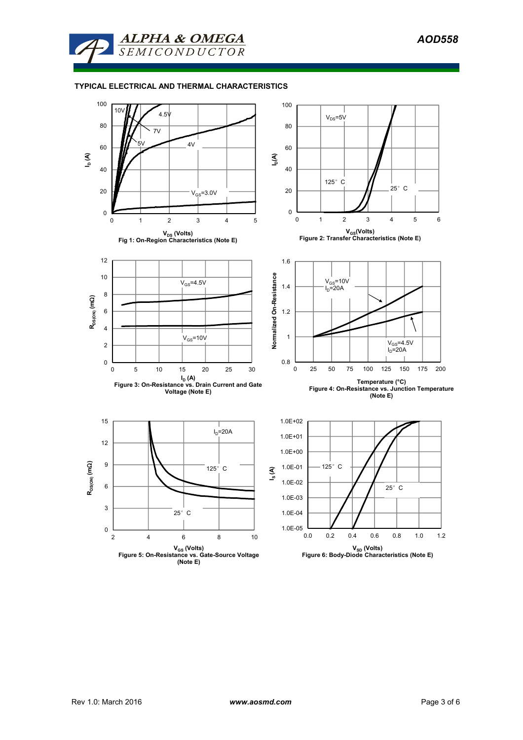

### **TYPICAL ELECTRICAL AND THERMAL CHARACTERISTICS**



**(Note E)**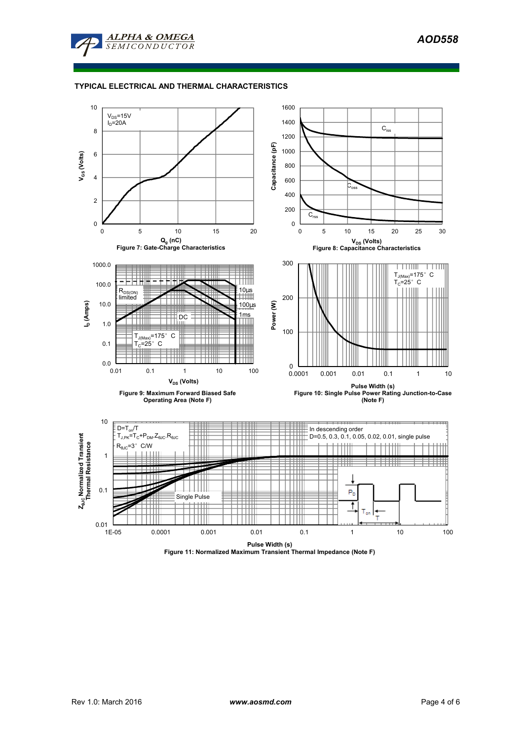

### **TYPICAL ELECTRICAL AND THERMAL CHARACTERISTICS**



**Figure 11: Normalized Maximum Transient Thermal Impedance (Note F)**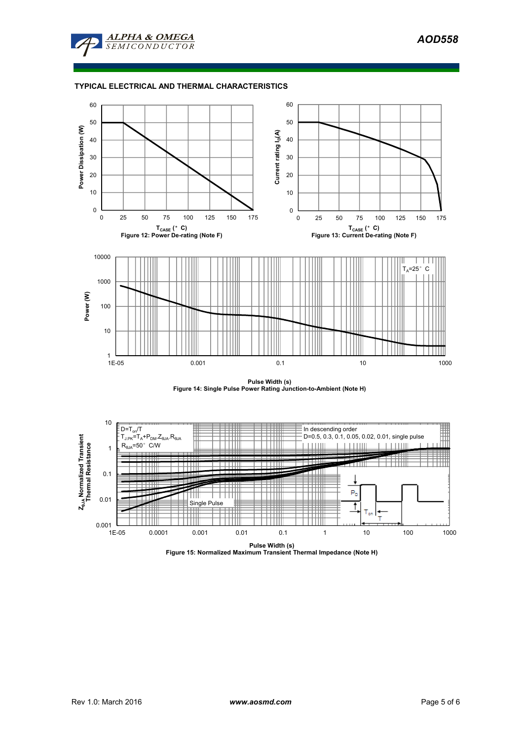

### **TYPICAL ELECTRICAL AND THERMAL CHARACTERISTICS**



**Pulse Width (s) Figure 14: Single Pulse Power Rating Junction-to-Ambient (Note H)**